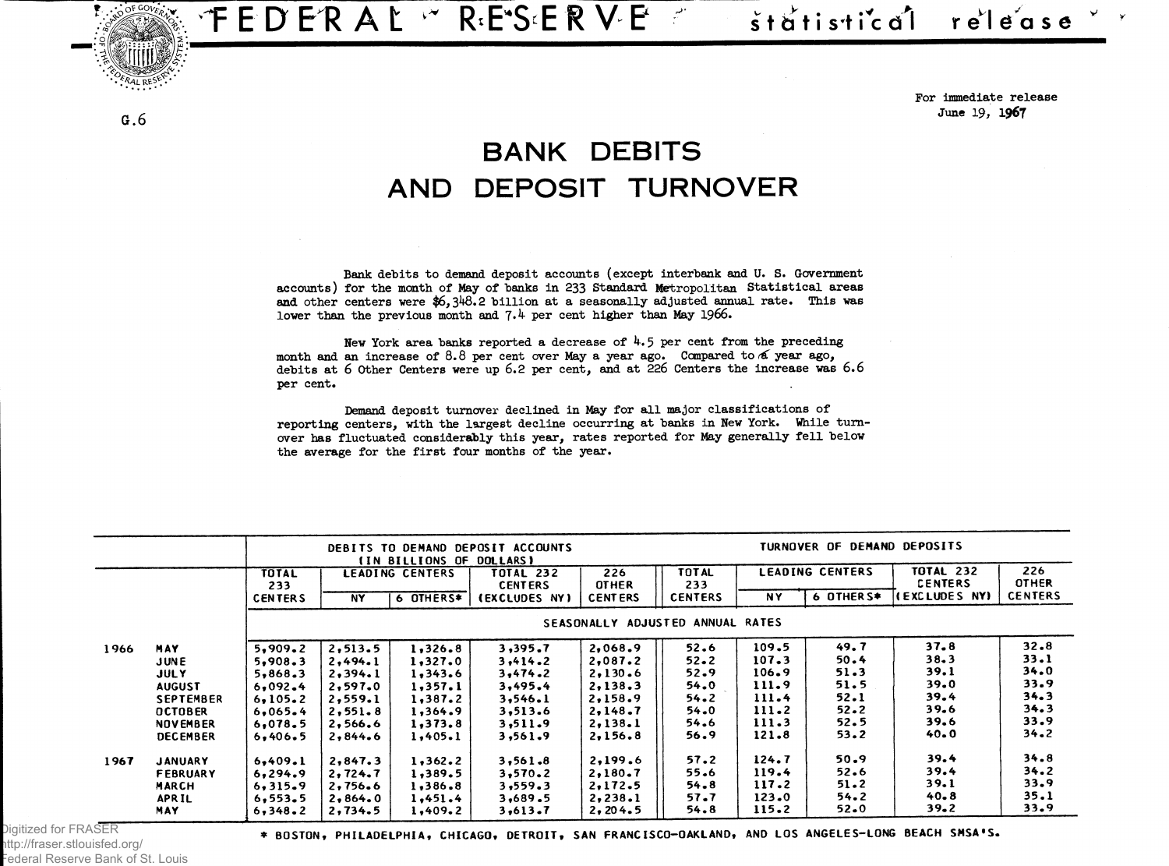FEDER AL \* R.E.S.ERVE 1 statistical release

> **For immediate release** June 19, 1967

## BANK DEBITS AND DEPOSIT TURNOVER

**Bank debits to demand deposit accounts (except interbank and U. S. Government accounts) for the month of May of banks in 233 Standard Metropolitan Statistical areas and other centers were \$6,348.2 billion at a seasonally adjusted annual rate. This was lower than the previous month and 7\*4- per cent higher than May 1966.**

**New York area banks reported a decrease of 4.5 per cent from the preceding month and an increase of 8.8 per cent over May a year ago. Compared to (6 year ago, debits at 6 Other Centers were up 6.2 per cent, and at 226 Centers the increase was 6.6 per cent.**

**Demand deposit turnover declined in May for all major classifications of reporting centers, with the largest decline occurring at banks in New York. While turnover has fluctuated considerably this year, rates reported for May generally fell below the average for the first four months of the year.**

|      |                  |                |           | (IN BILLIONS OF DOLLARS) | DEBITS TO DEMAND DEPOSIT ACCOUNTS  |                                  |                     |       | TURNOVER OF DEMAND DEPOSITS |                                    |                     |
|------|------------------|----------------|-----------|--------------------------|------------------------------------|----------------------------------|---------------------|-------|-----------------------------|------------------------------------|---------------------|
|      |                  | TOTAL<br>233   |           | <b>LEADING CENTERS</b>   | <b>TOTAL 232</b><br><b>CENTERS</b> | 226<br><b>OTHER</b>              | <b>TOTAL</b><br>233 |       | <b>LEADING CENTERS</b>      | <b>TOTAL 232</b><br><b>CENTERS</b> | 226<br><b>OTHER</b> |
|      |                  | <b>CENTERS</b> | <b>NY</b> | 6 OTHERS*                | (EXCLUDES NY)                      | <b>CENTERS</b>                   | <b>CENTERS</b>      | NΥ    | 6 OTHERS*                   | (EXCLUDES NY)                      | <b>CENTERS</b>      |
|      |                  |                |           |                          |                                    | SEASONALLY ADJUSTED ANNUAL RATES |                     |       |                             |                                    |                     |
| 1966 | <b>MAY</b>       | 5,909.2        | 2,513.5   | 1,326.8                  | 3,395.7                            | 2,068.9                          | 52.6                | 109.5 | 49.7                        | 37.8                               | 32.8                |
|      | <b>JUNE</b>      | 5,908.3        | 2,494.1   | 1,327.0                  | 3,414.2                            | 2,087.2                          | 52.2                | 107.3 | 50.4                        | 38.3                               | 33.1                |
|      | <b>JULY</b>      | 5,868.3        | 2,394.1   | 1,343.6                  | 3,474.2                            | 2,130.6                          | 52.9                | 106.9 | 51.3                        | 39.1                               | 34.0                |
|      | <b>AUGUST</b>    | 6,092.4        | 2,597.0   | 1,357.1                  | 3,495.4                            | 2,138.3                          | 54.0                | 111.9 | 51.5                        | 39.0                               | 33.9                |
|      | <b>SEPTEMBER</b> | 6,105.2        | 2, 559.1  | 1,387.2                  | 3,546.1                            | 2,158.9                          | 54.2                | 111.4 | 52.1                        | 39.4                               | 34.3                |
|      | <b>OCTOBER</b>   | 6,065.4        | 2,551.8   | 1,364.9                  | 3,513.6                            | 2,148.7                          | 54.0                | 111.2 | 52.2                        | 39.6                               | 34.3                |
|      | <b>NOVEMBER</b>  | 6,078.5        | 2,566.6   | 1,373.8                  | 3,511.9                            | 2,138.1                          | 54.6                | 111.3 | 52.5                        | 39.6                               | 33.9                |
|      | <b>DECEMBER</b>  | 6,406.5        | 2,844.6   | 1,405.1                  | 3,561.9                            | 2,156.8                          | 56.9                | 121.8 | 53.2                        | $40 - 0$                           | 34.2                |
| 1967 | <b>JANUARY</b>   | 6,409.1        | 2,847.3   | 1,362,2                  | 3,561.8                            | 2,199.6                          | 57.2                | 124.7 | 50.9                        | 39.4                               | 34.8                |
|      | <b>FEBRUARY</b>  | 6, 294.9       | 2,724.7   | 1,389.5                  | 3,570.2                            | 2,180.7                          | 55.6                | 119.4 | 52.6                        | 39.4                               | 34.2                |
|      | <b>MARCH</b>     | 6,315.9        | 2,756.6   | 1,386.8                  | 3,559.3                            | 2,172.5                          | 54.8                | 117.2 | $51 - 2$                    | 39.1                               | 33.9                |
|      | <b>APRIL</b>     | 6, 553.5       | 2,864.0   | 1.451.4                  | 3,689.5                            | 2,238.1                          | 57.7                | 123.0 | 54.2                        | $40 - 8$                           | 35.1                |
|      | <b>MAY</b>       | 6,348.2        | 2,734.5   | 1,409.2                  | 3,613.7                            | 2, 204.5                         | 54.8                | 115.2 | $52 - 0$                    | 39.2                               | 33.9                |

ligitized for FRASER ttp://fraser.stlouisfed.org/ ederal Reserve Bank of St. Louis

 $G.6$ 

Digitized \* BOSTON, PHILADELPHIA, CHICAGO, DETROIT, SAN FRANCISCO—OAKLAND, AND LOS ANGELES-LONG BEACH SMSA'S.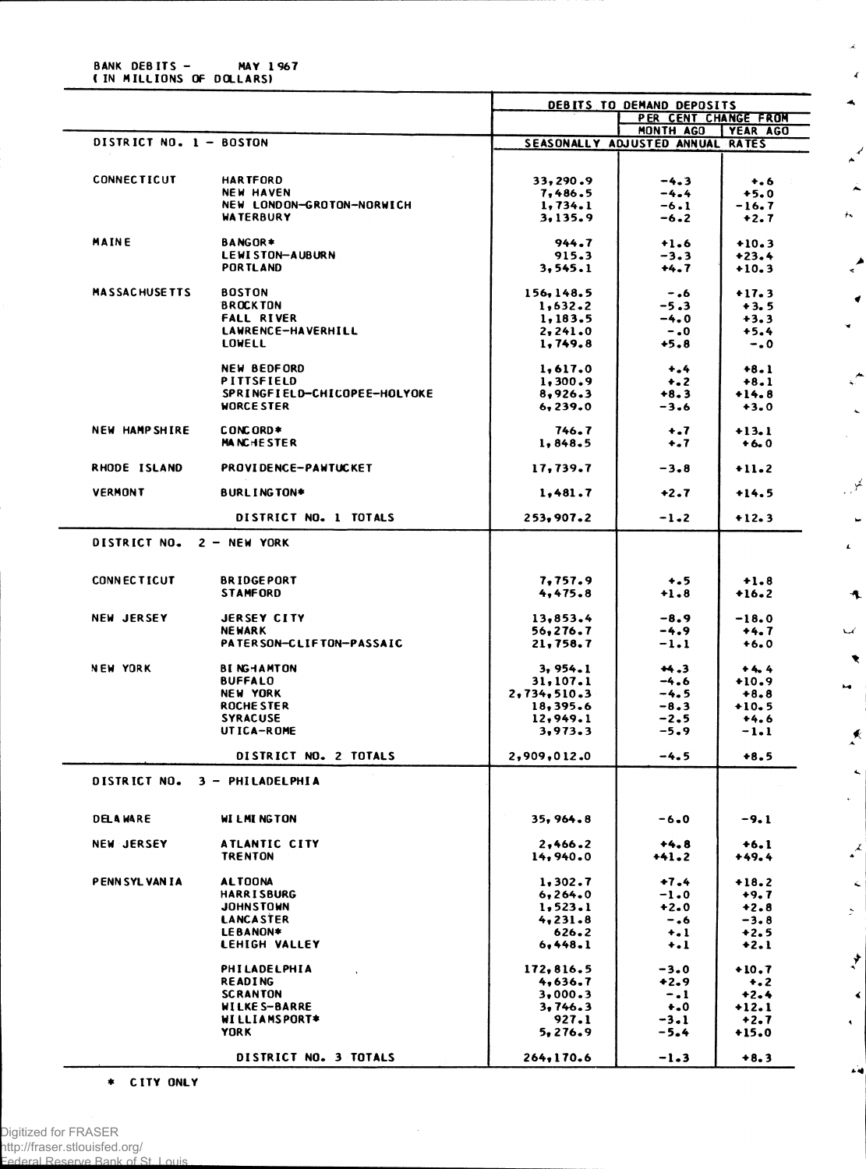DEBITS TO DEMAND DEPOSITS <u>PER CENT CHANGE FROM</u> <u>MONTH AGO | YEAR AGO</u> DISTRICT NO. 1 - BOSTON SEASONALLY ADJUSTED ANNUAL RATES CONNECTICUT HARTFORD 33,290.9 -4.3 • .6 NEW HAVEN 7,486.5 -4.4 • 5.0 NEW LONDON-GROTON-NORWICH 1,734.1 —6 \* 1 -16.7 WATERBURY 3,135.9 -6.2 • 2.7 MAINE BANGOR\* 944.7 • 1.6 • 10.3 LEWISTON-AUBURN 915.3 -3.3 +23.4<br>PORTLAND 915.3 +4.7 +10.3 PORTLAND 3,545.1 •4.7 • 10.3 MASSACHUSETTS BOSTON BROCKTON BROCKTON 156,148.5 – .6 +17.3 BROCKTON 1,632.2 -5.3 • 3. 5 FALL RIVER 1,183.5 -4.0 • 3.3 LAWRENCE-HAVERHILL 2,241.0 -.0 • 5.4 LOWELL 1,749.8 •5.8 - .0 NEW BEDFORD 1,617.0 • .4 •8.1 PITTSFIELD 1,300.9 •.2 •8.1 SPRINGFI ELD-CHICOPEE—HOLYOKE 8,926.3 •8.3 • 14.8 WORCESTER 6,239.0 -3.6 • 3.0 NEW HAMPSHIRE CONCORD\* 746.7 • .7 • 13.1 MANCHESTER 1,848.5 •.7 • 6.0 RHODE ISLAND PROVIDENCE-PAWTUCKET | 17,739.7 | -3.8 | +11.2 VERMONT BURLINGTON\* 1,481.7 •2.7 • 14.5 DISTRICT NO. 1 TOTALS 253,907.2  $-1.2$   $+12.3$ DISTRICT NO. 2 - NEW YORK CONN ECTICUT BRIOGEPORT 7,757.9 • .5 • 1.8 STAMFORD 4,475.8 •1.8 • 16.2 NEW JERSEY JERSEY CITY 13,853.4 -8.9 -18.0 NEWARK 56,276.7 -4.9 • 4.7 PATERSON-CLIFTON-PASSAIC NEW YORK BINS4AMTON 3, 954.1 •4.3 • 4.4 BUFFALO 31,107.1 -4.6 •10.9 NEW YORK 2,734,510.3 -4.5 •8.8 ROCHESTER 18,395.6 -8.3 • 10.5 SYRACUSE 12,949.1 -2.5 •4. 6 UTICA-ROME 3,973.3 -5.9 -1.1 DISTRICT NO. 2 TOTALS 2,909,012.0 -4.5 0 0 • DISTRICT NO. 3 - PHILADELPHIA DELA WARE WILMINGTON 35,964.8 — 6.0 -9.1 NEW JERSEY ATLANTIC CITY | 2,466.2 | +4.8 | +6.1 TRENTON 14,940.0 • 14,940.0 • 14,940.0 • 141.2 • 149.4 PENNSYLVANIA ALTOONA 1,302.7 +7.4 +18.2 HARRISBURG 6,264.0 −1.0 +9.7<br>JOHNSTOWN 1,523.1 +2.0 +2.8 JOHNSTOWN 1,523.1 • 2.0 •2.8 LANCASTER 4,231.8 — .6 -3.8 LEBANON\* 626.2 • .1 • 2.5 LEHIGH VALLEY 6,448.1 • .1 •2.1 PHILADELPHIA (172,816.5 -3.0 +10.7<br>READING 4,636.7 +2.9 +2.9 +2 READING 4,636.7 •2.9 • .2 SCRANTON 3,000.3 -.1 •2.4 WILKES-BARRE 3,746.3 •.0 • 12.1 WI LLI A MS PORT\* 927.1 -3.1 • 2.7 YORK 5,276.9 -5.4 • 15.0 DISTRICT NO. 3 TOTALS 264,170.6 -1.3 • 8.3

 $\lambda$  $\epsilon$  $\blacktriangleleft$ 

́  $\overline{f}_{\mathcal{H}}$ 

 $\blacktriangledown$ 

 $\zeta^{\frac{1}{2}}$  $\mathbf{A}_\mathbf{r}$ 

 $\mathcal{A}$ 

 $\mathbf{r}$ 

 $\ddot{\bullet}$ 

 $\overline{\phantom{a}}$  $\blacktriangledown$ ĥ4

 $\mathbf{R}$ 

 $\blacktriangle$ 

 $\mathbf{r}$ 

k.  $\ddot{\phantom{1}}$ 

 $\overrightarrow{y}$ 

 $\blacktriangleleft$  $\ddot{\phantom{1}}$ 

ÄЧ

\* CITY ONLY

BANK DEBITS - MAY 1967 ( IN MILLIONS OF DOLLARS)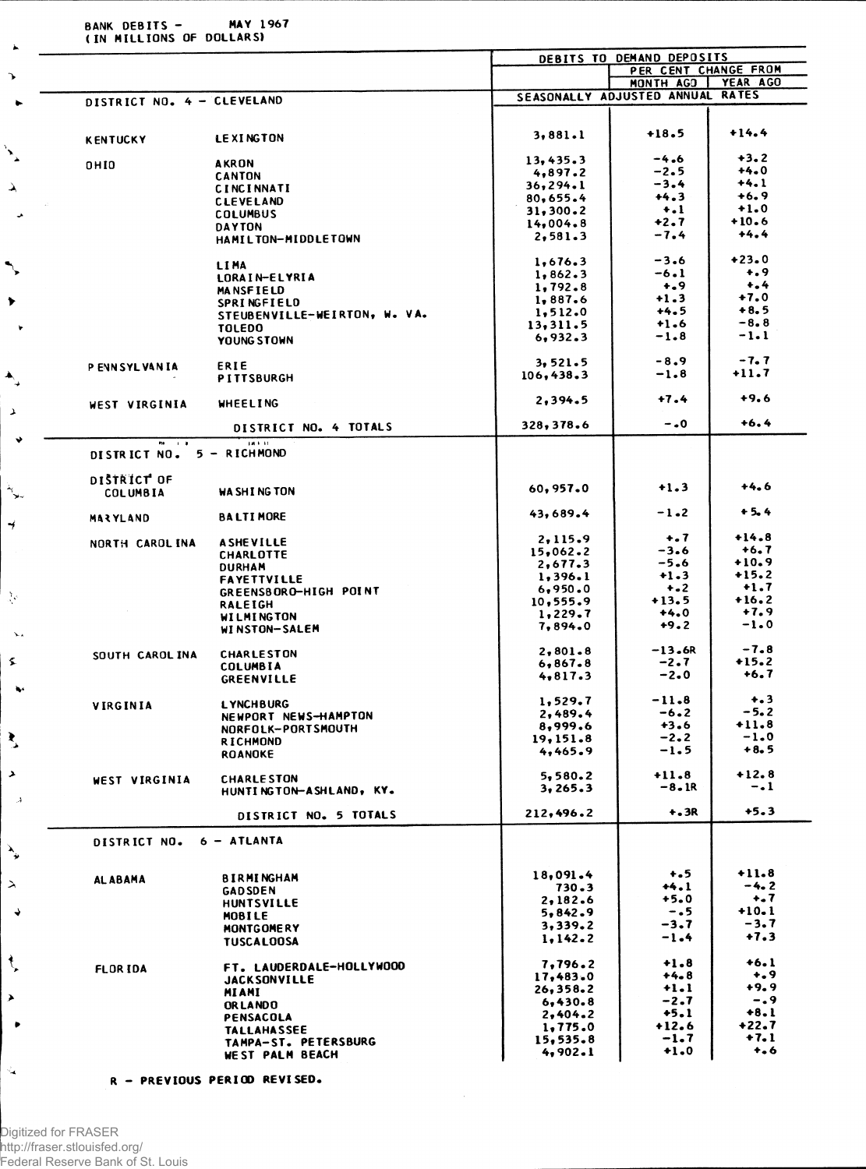BANK DEBITS - MAY 1967<br>(IN MILLIONS OF DOLLARS)

| THE MILLIONS OF DOCEM.                |                               |                      |                                  |                 |
|---------------------------------------|-------------------------------|----------------------|----------------------------------|-----------------|
|                                       |                               |                      | DEBITS TO DEMAND DEPOSITS        |                 |
|                                       |                               |                      | PER CENT CHANGE FROM             |                 |
|                                       |                               |                      | MONTH AGO   YEAR AGO             |                 |
| DISTRICT NO. 4 - CLEVELAND            |                               |                      | SEASONALLY ADJUSTED ANNUAL RATES |                 |
|                                       |                               |                      |                                  |                 |
|                                       |                               | 3,881.1              | $+18.5$                          | $+14.4$         |
| <b>KENTUCKY</b>                       | <b>LEXINGTON</b>              |                      |                                  |                 |
|                                       | <b>AKRON</b>                  | 13,435.3             | $-4.6$                           | $+3.2$          |
| <b>OHIO</b>                           | <b>CANTON</b>                 | 4,897.2              | $-2.5$                           | $+4.0$          |
|                                       | <b>CINCINNATI</b>             | 36, 294.1            | $-3.4$                           | $+4.1$          |
|                                       | <b>CLEVELAND</b>              | 80,655.4             | $+4.3$                           | $+6.9$          |
|                                       | <b>COLUMBUS</b>               | 31,300.2             | $+1$                             | $+1.0$          |
|                                       | <b>DAYTON</b>                 | 14,004.8             | $+2.7$                           | $+10.6$         |
|                                       | HAMILTON-MIDDLETOWN           | 2,581.3              | $-7.4$                           | $+4.4$          |
|                                       |                               |                      |                                  |                 |
|                                       | <b>LIMA</b>                   | 1.676.3              | $-3.6$                           | $+23.0$         |
|                                       | LORAIN-ELYRIA                 | 1,862.3              | $-6.1$                           | $+ 9$           |
|                                       | <b>MANSFIELD</b>              | 1,792.8              | $+ - 9$                          | $+$ .4          |
|                                       | <b>SPRINGFIELD</b>            | 1,887.6              | $+1.3$                           | $+7.0$          |
|                                       | STEUBENVILLE-WEIRTON, W. VA.  | 1,512.0              | $+4.5$                           | $+8.5$          |
|                                       | <b>TOLEDO</b>                 | 13,311.5             | $+1.6$                           | $-8, 8$         |
|                                       | YOUNG STOWN                   | 6,932.3              | $-1.8$                           | $-1.1$          |
|                                       |                               |                      |                                  |                 |
| <b>PENNSYLVANIA</b>                   | ERIE                          | 3,521.5              | $-8.9$                           | $-7.7$          |
|                                       | PITTSBURGH                    | 106,438.3            | $-1.8$                           | $+11.7$         |
|                                       |                               |                      | $+7.4$                           | $+9.6$          |
| WEST VIRGINIA                         | <b>WHEELING</b>               | 2,394.5              |                                  |                 |
|                                       | DISTRICT NO. 4 TOTALS         | 328,378.6            | $-0$                             | $+6.4$          |
| PH 1 IP                               | 18111                         |                      |                                  |                 |
| DISTRICT NO.                          | 5 - RICHMOND                  |                      |                                  |                 |
|                                       |                               |                      |                                  |                 |
| <b>DISTRICT OF</b><br><b>COLUMBIA</b> | WA SHI NG TON                 | 60,957.0             | $+1.3$                           | +4.6            |
|                                       |                               |                      |                                  |                 |
| <b>MARYLAND</b>                       | <b>BALTIMORE</b>              | 43,689.4             | $-1.2$                           | $+5.4$          |
|                                       |                               |                      |                                  |                 |
| NORTH CAROLINA                        | <b>ASHEVILLE</b>              | 2,115.9              | $+ 7$                            | $+14.8$         |
|                                       | CHARLOTTE                     | 15,062.2             | -3.6                             | $+6.7$          |
|                                       | <b>DURHAM</b>                 | 2,677.3              | -5.6                             | $+10.9$         |
|                                       | <b>FAYETTVILLE</b>            | 1,396.1              | $+1.3$                           | $+15.2$         |
|                                       | GREENSBORO-HIGH POINT         | 6,950.0              | $+ - 2$                          | $+1.7$          |
|                                       | <b>RALEIGH</b>                | 10,555.9             | $+13.5$                          | $+16.2$         |
|                                       | WILMINGTON                    | 1,229.7              | $+4.0$                           | $+7.9$          |
|                                       | WINSTON-SALEM                 | 7,894.0              | $+9.2$                           | $-1.0$          |
|                                       |                               |                      | $-13.6R$                         | $-7.8$          |
| SOUTH CAROL INA                       | <b>CHARLESTON</b>             | 2,801.8<br>6.867.8   | $-2.7$                           | $+15.2$         |
|                                       | <b>COLUMBIA</b><br>GREENVILLE | 4,817.3              | $-2.0$                           | $+6.7$          |
|                                       |                               |                      |                                  |                 |
| VIRGINIA                              | <b>LYNCHBURG</b>              | 1,529.7              | $-11.8$                          | $+ 3$           |
|                                       | NEWPORT NEWS-HAMPTON          | 2,489.4              | $-6.2$                           | $-5.2$          |
|                                       | <b>NORFOLK-PORTSMOUTH</b>     | 8,999.6              | $+3.6$                           | $+11.8$         |
|                                       | <b>RICHMOND</b>               | 19,151.8             | $-2.2$                           | $-1.0$          |
|                                       | <b>ROANOKE</b>                | 4,465.9              | $-1.5$                           | $+8.5$          |
|                                       |                               |                      |                                  |                 |
| WEST VIRGINIA                         | <b>CHARLE STON</b>            | 5,580.2              | $+11.8$                          | $+12.8$         |
|                                       | HUNTINGTON-ASHLAND, KY.       | 3,265.3              | $-8.1R$                          | $-1$            |
|                                       | DISTRICT NO. 5 TOTALS         | 212,496.2            | $+ . 3R$                         | $+5.3$          |
|                                       |                               |                      |                                  |                 |
| DISTRICT NO.                          | 6 - ATLANTA                   |                      |                                  |                 |
|                                       |                               |                      |                                  |                 |
| AL ABAMA                              | <b>BIRMINGHAM</b>             | 18,091.4             | $+ .5$                           | $+11.8$         |
|                                       | <b>GAD SDEN</b>               | 730.3                | $+4.1$                           | $-4.2$          |
|                                       | <b>HUNTSVILLE</b>             | 2,182.6              | $+5.0$                           | $+1.7$          |
|                                       | MOBILE                        | 5,842.9              | $-0.5$                           | $+10.1$         |
|                                       | <b>MONTGOMERY</b>             | 3,339.2              | -3.7                             | $-3.7$          |
|                                       | <b>TUSCALOOSA</b>             | 1, 142.2             | $-1.4$                           | $+7.3$          |
|                                       |                               |                      |                                  |                 |
| <b>FLOR IDA</b>                       | FT. LAUDERDALE-HOLLYWOOD      | 7,796.2              | $+1.8$                           | $+6.1$          |
|                                       | <b>JACKSONVILLE</b>           | 17,483.0             | $+4.8$                           | $+$ .9          |
|                                       | MIAMI                         | 26,358.2             | $+1.1$                           | $+9.9$          |
|                                       | <b>OR LANDO</b>               | 6,430.8              | $-2.7$                           | $-0.9$          |
|                                       | <b>PENSACOLA</b>              | 2,404.2              | $+5.1$                           | $+8.1$          |
|                                       |                               |                      | $+12.6$                          | $+22.7$         |
|                                       | <b>TALLAHASSEE</b>            | 1,775.0              |                                  |                 |
|                                       | TAMPA-ST. PETERSBURG          | 15, 535.8<br>4,902.1 | $-1.7$<br>$+1.0$                 | $+7.1$<br>$+ 6$ |

R - PREVIOUS PERIOD REVISED.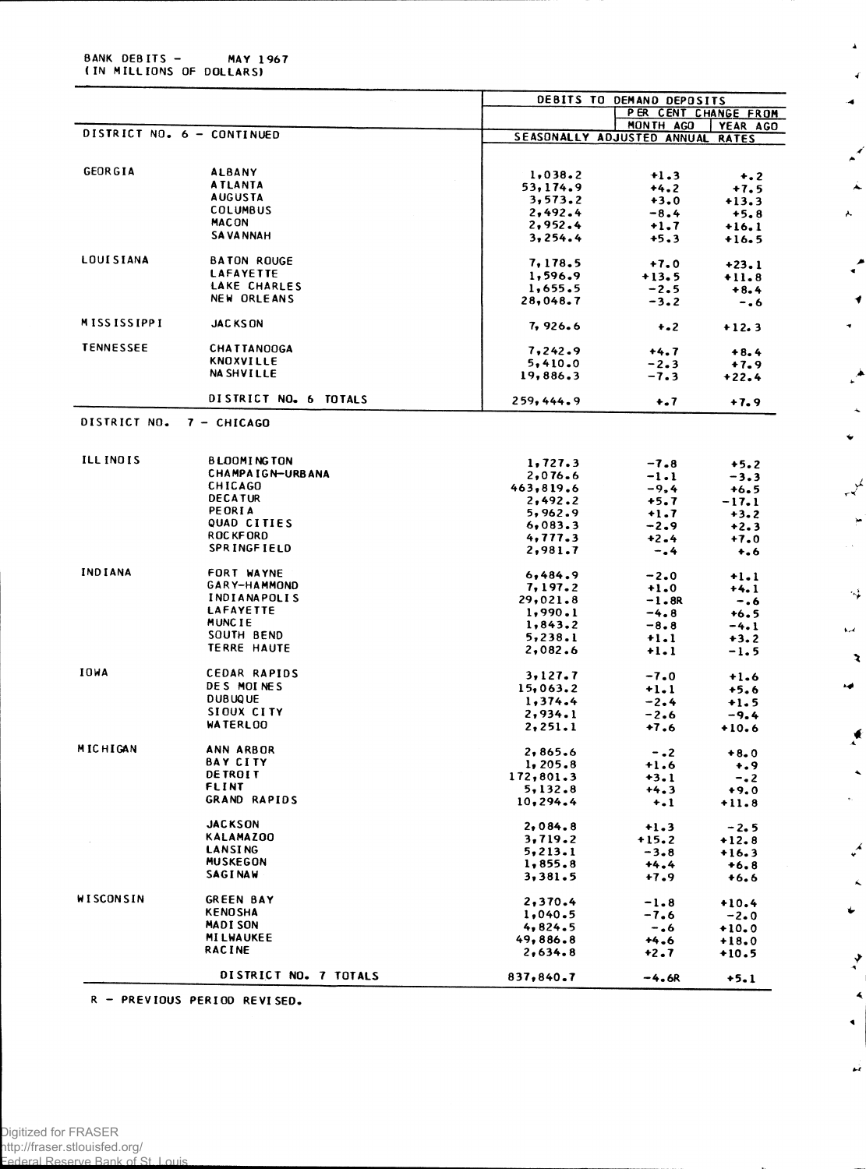| PER CENT CHANGE FROM<br>MONTH AGO<br>YEAR AGO<br>DISTRICT NO. 6 - CONTINUED<br>SEASONALLY ADJUSTED ANNUAL<br><b>RATES</b><br><b>GEORGIA</b><br><b>ALBANY</b><br>1,038.2<br>$+1.3$<br>$+ 2$<br><b>ATLANTA</b><br>53,174.9<br>$+4.2$<br>$+7.5$<br><b>AUGUSTA</b><br>3,573.2<br>$+3.0$<br>$+13.3$<br><b>COLUMBUS</b><br>2,492.4<br>$-8.4$<br>$+5.8$<br><b>MACON</b><br>2,952.4<br>$+1.7$<br>$+16.1$<br><b>SAVANNAH</b><br>3,254.4<br>$+5.3$<br>$+16.5$<br><b>LOUISIANA</b><br><b>BATON ROUGE</b><br>7,178.5<br>$+7.0$<br>$+23.1$<br><b>LAFAYETTE</b><br>1,596.9<br>$+13.5$<br>$+11.8$<br>LAKE CHARLES<br>1,655.5<br>$-2.5$<br>$+8.4$<br>NEW ORLEANS<br>28,048.7<br>$-3.2$<br>-.6<br><b>MISSISSIPPI</b><br><b>JACKSON</b><br>7,926.6<br>$+ - 2$<br>$+12.3$<br><b>TENNESSEE</b><br><b>CHATTANOOGA</b><br>7,242.9<br>$+4.7$<br>$+8.4$<br><b>KNOXVILLE</b><br>5,410.0<br>$-2.3$<br>$+7.9$<br><b>NA SHVILLE</b><br>19,886.3<br>$-7.3$<br>$+22.4$<br>DISTRICT NO. 6 TOTALS<br>259,444.9<br>$+ - 7$<br>$+7.9$<br>DISTRICT NO.<br>$7 - CHICAGO$<br><b>ILL INDIS</b><br><b>BLOOMINGTON</b><br>1,727.3<br>$-7.8$<br>$+5.2$<br><b>CHAMPAIGN-URBANA</b><br>2,076.6<br>$-1.1$<br>$-3.3$<br><b>CHICAGO</b><br>463,819.6<br>$-9,4$<br>$+6.5$<br><b>DECATUR</b><br>2,492.2<br>$+5.7$<br>$-17.1$<br><b>PEORTA</b><br>5,962.9<br>$+1.7$<br>$+3.2$<br>QUAD CITIES<br>6,083.3<br>$-2.9$<br>$+2.3$<br>ROC KF ORD<br>4,777.3<br>$+2.4$<br>$+7.0$<br><b>SPRINGFIELD</b><br>2,981.7<br>-.4<br>$+ 6$<br><b>INDIANA</b><br>FORT WAYNE<br>6,484.9<br>$-2.0$<br>$+1.1$<br><b>GARY-HAMMOND</b><br>7,197.2<br>$+1.0$<br>$+4.1$<br><b>INDIANAPOLIS</b><br>29,021.8<br>$-1.8R$<br>$-0.6$<br><b>LAFAYETTE</b><br>1,990.1<br>$-4.8$<br>$+6.5$<br><b>MUNCIE</b><br>1,843.2<br>$-8.8$<br>$-4.1$<br>SOUTH BEND<br>5,238.1<br>$+1.1$<br>$+3.2$<br><b>TERRE HAUTE</b><br>2,082.6<br>$+1.1$<br>$-1.5$<br><b>IOWA</b><br><b>CEDAR RAPIDS</b><br>3,127.7<br>$-7.0$<br>$+1.6$<br>DES MOINES<br>15,063.2<br>$+1.1$<br>$+5.6$<br><b>DUBUQUE</b><br>1,374.4<br>$-2.4$<br>$+1.5$<br>SIOUX CITY<br>2,934.1<br>$-2.6$<br>$-9.4$<br><b>WATERLOO</b><br>2,251.1<br>$+7.6$<br>$+10.6$<br>ANN ARBOR<br>2,865.6<br>$ \cdot$ 2<br>$+8.0$<br><b>BAY CITY</b><br>1, 205.8<br>$+1.6$<br>$+0.9$<br><b>DE TROIT</b><br>172,801.3<br>$+3.1$<br>-.2<br>FLINT<br>5,132.8<br>$+4.3$<br>$+9.0$<br>GRAND RAPIDS<br>10, 294.4<br>$+ - 1$<br>$+11.8$<br><b>JACKSON</b><br>2,084.8<br>$+1.3$<br>$-2.5$<br><b>KALAMAZOO</b><br>3,719.2<br>$+15.2$<br>+12.8<br>LANSING<br>5, 213.1<br>$-3.8$<br>+16.3<br><b>MUSKEGON</b><br>1,855.8<br>$+4.4$<br>$+6.8$<br><b>SAGINAW</b><br>3,381.5<br>$+7.9$<br>$+6.6$<br><b>GREEN BAY</b><br>2,370.4<br>$-1.8$<br>$+10.4$<br><b>KENOSHA</b><br>1,040.5<br>$-7.6$<br>$-2.0$<br>MADI SON<br>4,824.5<br>$-0.6$<br>$+10.0$<br>MILWAUKEE<br>49,886.8<br>$+4.6$<br>$+18.0$<br><b>RACINE</b><br>2,634.8<br>+2.7<br>$+10.5$<br>DISTRICT NO. 7 TOTALS<br>837,840.7<br>$-4.6R$<br>$+5.1$ |           |  | DEBITS TO DEMAND DEPOSITS |  |
|-----------------------------------------------------------------------------------------------------------------------------------------------------------------------------------------------------------------------------------------------------------------------------------------------------------------------------------------------------------------------------------------------------------------------------------------------------------------------------------------------------------------------------------------------------------------------------------------------------------------------------------------------------------------------------------------------------------------------------------------------------------------------------------------------------------------------------------------------------------------------------------------------------------------------------------------------------------------------------------------------------------------------------------------------------------------------------------------------------------------------------------------------------------------------------------------------------------------------------------------------------------------------------------------------------------------------------------------------------------------------------------------------------------------------------------------------------------------------------------------------------------------------------------------------------------------------------------------------------------------------------------------------------------------------------------------------------------------------------------------------------------------------------------------------------------------------------------------------------------------------------------------------------------------------------------------------------------------------------------------------------------------------------------------------------------------------------------------------------------------------------------------------------------------------------------------------------------------------------------------------------------------------------------------------------------------------------------------------------------------------------------------------------------------------------------------------------------------------------------------------------------------------------------------------------------------------------------------------------------------------------------------------------------------------------------------------------------------------------------------------------------------------------------------------------------------------------------------------------------------------------------------------------------------------------------------|-----------|--|---------------------------|--|
|                                                                                                                                                                                                                                                                                                                                                                                                                                                                                                                                                                                                                                                                                                                                                                                                                                                                                                                                                                                                                                                                                                                                                                                                                                                                                                                                                                                                                                                                                                                                                                                                                                                                                                                                                                                                                                                                                                                                                                                                                                                                                                                                                                                                                                                                                                                                                                                                                                                                                                                                                                                                                                                                                                                                                                                                                                                                                                                                         |           |  |                           |  |
|                                                                                                                                                                                                                                                                                                                                                                                                                                                                                                                                                                                                                                                                                                                                                                                                                                                                                                                                                                                                                                                                                                                                                                                                                                                                                                                                                                                                                                                                                                                                                                                                                                                                                                                                                                                                                                                                                                                                                                                                                                                                                                                                                                                                                                                                                                                                                                                                                                                                                                                                                                                                                                                                                                                                                                                                                                                                                                                                         |           |  |                           |  |
|                                                                                                                                                                                                                                                                                                                                                                                                                                                                                                                                                                                                                                                                                                                                                                                                                                                                                                                                                                                                                                                                                                                                                                                                                                                                                                                                                                                                                                                                                                                                                                                                                                                                                                                                                                                                                                                                                                                                                                                                                                                                                                                                                                                                                                                                                                                                                                                                                                                                                                                                                                                                                                                                                                                                                                                                                                                                                                                                         |           |  |                           |  |
|                                                                                                                                                                                                                                                                                                                                                                                                                                                                                                                                                                                                                                                                                                                                                                                                                                                                                                                                                                                                                                                                                                                                                                                                                                                                                                                                                                                                                                                                                                                                                                                                                                                                                                                                                                                                                                                                                                                                                                                                                                                                                                                                                                                                                                                                                                                                                                                                                                                                                                                                                                                                                                                                                                                                                                                                                                                                                                                                         |           |  |                           |  |
|                                                                                                                                                                                                                                                                                                                                                                                                                                                                                                                                                                                                                                                                                                                                                                                                                                                                                                                                                                                                                                                                                                                                                                                                                                                                                                                                                                                                                                                                                                                                                                                                                                                                                                                                                                                                                                                                                                                                                                                                                                                                                                                                                                                                                                                                                                                                                                                                                                                                                                                                                                                                                                                                                                                                                                                                                                                                                                                                         |           |  |                           |  |
|                                                                                                                                                                                                                                                                                                                                                                                                                                                                                                                                                                                                                                                                                                                                                                                                                                                                                                                                                                                                                                                                                                                                                                                                                                                                                                                                                                                                                                                                                                                                                                                                                                                                                                                                                                                                                                                                                                                                                                                                                                                                                                                                                                                                                                                                                                                                                                                                                                                                                                                                                                                                                                                                                                                                                                                                                                                                                                                                         |           |  |                           |  |
|                                                                                                                                                                                                                                                                                                                                                                                                                                                                                                                                                                                                                                                                                                                                                                                                                                                                                                                                                                                                                                                                                                                                                                                                                                                                                                                                                                                                                                                                                                                                                                                                                                                                                                                                                                                                                                                                                                                                                                                                                                                                                                                                                                                                                                                                                                                                                                                                                                                                                                                                                                                                                                                                                                                                                                                                                                                                                                                                         |           |  |                           |  |
|                                                                                                                                                                                                                                                                                                                                                                                                                                                                                                                                                                                                                                                                                                                                                                                                                                                                                                                                                                                                                                                                                                                                                                                                                                                                                                                                                                                                                                                                                                                                                                                                                                                                                                                                                                                                                                                                                                                                                                                                                                                                                                                                                                                                                                                                                                                                                                                                                                                                                                                                                                                                                                                                                                                                                                                                                                                                                                                                         |           |  |                           |  |
|                                                                                                                                                                                                                                                                                                                                                                                                                                                                                                                                                                                                                                                                                                                                                                                                                                                                                                                                                                                                                                                                                                                                                                                                                                                                                                                                                                                                                                                                                                                                                                                                                                                                                                                                                                                                                                                                                                                                                                                                                                                                                                                                                                                                                                                                                                                                                                                                                                                                                                                                                                                                                                                                                                                                                                                                                                                                                                                                         |           |  |                           |  |
|                                                                                                                                                                                                                                                                                                                                                                                                                                                                                                                                                                                                                                                                                                                                                                                                                                                                                                                                                                                                                                                                                                                                                                                                                                                                                                                                                                                                                                                                                                                                                                                                                                                                                                                                                                                                                                                                                                                                                                                                                                                                                                                                                                                                                                                                                                                                                                                                                                                                                                                                                                                                                                                                                                                                                                                                                                                                                                                                         |           |  |                           |  |
|                                                                                                                                                                                                                                                                                                                                                                                                                                                                                                                                                                                                                                                                                                                                                                                                                                                                                                                                                                                                                                                                                                                                                                                                                                                                                                                                                                                                                                                                                                                                                                                                                                                                                                                                                                                                                                                                                                                                                                                                                                                                                                                                                                                                                                                                                                                                                                                                                                                                                                                                                                                                                                                                                                                                                                                                                                                                                                                                         |           |  |                           |  |
|                                                                                                                                                                                                                                                                                                                                                                                                                                                                                                                                                                                                                                                                                                                                                                                                                                                                                                                                                                                                                                                                                                                                                                                                                                                                                                                                                                                                                                                                                                                                                                                                                                                                                                                                                                                                                                                                                                                                                                                                                                                                                                                                                                                                                                                                                                                                                                                                                                                                                                                                                                                                                                                                                                                                                                                                                                                                                                                                         |           |  |                           |  |
|                                                                                                                                                                                                                                                                                                                                                                                                                                                                                                                                                                                                                                                                                                                                                                                                                                                                                                                                                                                                                                                                                                                                                                                                                                                                                                                                                                                                                                                                                                                                                                                                                                                                                                                                                                                                                                                                                                                                                                                                                                                                                                                                                                                                                                                                                                                                                                                                                                                                                                                                                                                                                                                                                                                                                                                                                                                                                                                                         |           |  |                           |  |
|                                                                                                                                                                                                                                                                                                                                                                                                                                                                                                                                                                                                                                                                                                                                                                                                                                                                                                                                                                                                                                                                                                                                                                                                                                                                                                                                                                                                                                                                                                                                                                                                                                                                                                                                                                                                                                                                                                                                                                                                                                                                                                                                                                                                                                                                                                                                                                                                                                                                                                                                                                                                                                                                                                                                                                                                                                                                                                                                         |           |  |                           |  |
|                                                                                                                                                                                                                                                                                                                                                                                                                                                                                                                                                                                                                                                                                                                                                                                                                                                                                                                                                                                                                                                                                                                                                                                                                                                                                                                                                                                                                                                                                                                                                                                                                                                                                                                                                                                                                                                                                                                                                                                                                                                                                                                                                                                                                                                                                                                                                                                                                                                                                                                                                                                                                                                                                                                                                                                                                                                                                                                                         |           |  |                           |  |
|                                                                                                                                                                                                                                                                                                                                                                                                                                                                                                                                                                                                                                                                                                                                                                                                                                                                                                                                                                                                                                                                                                                                                                                                                                                                                                                                                                                                                                                                                                                                                                                                                                                                                                                                                                                                                                                                                                                                                                                                                                                                                                                                                                                                                                                                                                                                                                                                                                                                                                                                                                                                                                                                                                                                                                                                                                                                                                                                         |           |  |                           |  |
|                                                                                                                                                                                                                                                                                                                                                                                                                                                                                                                                                                                                                                                                                                                                                                                                                                                                                                                                                                                                                                                                                                                                                                                                                                                                                                                                                                                                                                                                                                                                                                                                                                                                                                                                                                                                                                                                                                                                                                                                                                                                                                                                                                                                                                                                                                                                                                                                                                                                                                                                                                                                                                                                                                                                                                                                                                                                                                                                         |           |  |                           |  |
|                                                                                                                                                                                                                                                                                                                                                                                                                                                                                                                                                                                                                                                                                                                                                                                                                                                                                                                                                                                                                                                                                                                                                                                                                                                                                                                                                                                                                                                                                                                                                                                                                                                                                                                                                                                                                                                                                                                                                                                                                                                                                                                                                                                                                                                                                                                                                                                                                                                                                                                                                                                                                                                                                                                                                                                                                                                                                                                                         |           |  |                           |  |
|                                                                                                                                                                                                                                                                                                                                                                                                                                                                                                                                                                                                                                                                                                                                                                                                                                                                                                                                                                                                                                                                                                                                                                                                                                                                                                                                                                                                                                                                                                                                                                                                                                                                                                                                                                                                                                                                                                                                                                                                                                                                                                                                                                                                                                                                                                                                                                                                                                                                                                                                                                                                                                                                                                                                                                                                                                                                                                                                         |           |  |                           |  |
|                                                                                                                                                                                                                                                                                                                                                                                                                                                                                                                                                                                                                                                                                                                                                                                                                                                                                                                                                                                                                                                                                                                                                                                                                                                                                                                                                                                                                                                                                                                                                                                                                                                                                                                                                                                                                                                                                                                                                                                                                                                                                                                                                                                                                                                                                                                                                                                                                                                                                                                                                                                                                                                                                                                                                                                                                                                                                                                                         |           |  |                           |  |
|                                                                                                                                                                                                                                                                                                                                                                                                                                                                                                                                                                                                                                                                                                                                                                                                                                                                                                                                                                                                                                                                                                                                                                                                                                                                                                                                                                                                                                                                                                                                                                                                                                                                                                                                                                                                                                                                                                                                                                                                                                                                                                                                                                                                                                                                                                                                                                                                                                                                                                                                                                                                                                                                                                                                                                                                                                                                                                                                         |           |  |                           |  |
|                                                                                                                                                                                                                                                                                                                                                                                                                                                                                                                                                                                                                                                                                                                                                                                                                                                                                                                                                                                                                                                                                                                                                                                                                                                                                                                                                                                                                                                                                                                                                                                                                                                                                                                                                                                                                                                                                                                                                                                                                                                                                                                                                                                                                                                                                                                                                                                                                                                                                                                                                                                                                                                                                                                                                                                                                                                                                                                                         |           |  |                           |  |
|                                                                                                                                                                                                                                                                                                                                                                                                                                                                                                                                                                                                                                                                                                                                                                                                                                                                                                                                                                                                                                                                                                                                                                                                                                                                                                                                                                                                                                                                                                                                                                                                                                                                                                                                                                                                                                                                                                                                                                                                                                                                                                                                                                                                                                                                                                                                                                                                                                                                                                                                                                                                                                                                                                                                                                                                                                                                                                                                         |           |  |                           |  |
|                                                                                                                                                                                                                                                                                                                                                                                                                                                                                                                                                                                                                                                                                                                                                                                                                                                                                                                                                                                                                                                                                                                                                                                                                                                                                                                                                                                                                                                                                                                                                                                                                                                                                                                                                                                                                                                                                                                                                                                                                                                                                                                                                                                                                                                                                                                                                                                                                                                                                                                                                                                                                                                                                                                                                                                                                                                                                                                                         |           |  |                           |  |
|                                                                                                                                                                                                                                                                                                                                                                                                                                                                                                                                                                                                                                                                                                                                                                                                                                                                                                                                                                                                                                                                                                                                                                                                                                                                                                                                                                                                                                                                                                                                                                                                                                                                                                                                                                                                                                                                                                                                                                                                                                                                                                                                                                                                                                                                                                                                                                                                                                                                                                                                                                                                                                                                                                                                                                                                                                                                                                                                         |           |  |                           |  |
|                                                                                                                                                                                                                                                                                                                                                                                                                                                                                                                                                                                                                                                                                                                                                                                                                                                                                                                                                                                                                                                                                                                                                                                                                                                                                                                                                                                                                                                                                                                                                                                                                                                                                                                                                                                                                                                                                                                                                                                                                                                                                                                                                                                                                                                                                                                                                                                                                                                                                                                                                                                                                                                                                                                                                                                                                                                                                                                                         |           |  |                           |  |
|                                                                                                                                                                                                                                                                                                                                                                                                                                                                                                                                                                                                                                                                                                                                                                                                                                                                                                                                                                                                                                                                                                                                                                                                                                                                                                                                                                                                                                                                                                                                                                                                                                                                                                                                                                                                                                                                                                                                                                                                                                                                                                                                                                                                                                                                                                                                                                                                                                                                                                                                                                                                                                                                                                                                                                                                                                                                                                                                         |           |  |                           |  |
|                                                                                                                                                                                                                                                                                                                                                                                                                                                                                                                                                                                                                                                                                                                                                                                                                                                                                                                                                                                                                                                                                                                                                                                                                                                                                                                                                                                                                                                                                                                                                                                                                                                                                                                                                                                                                                                                                                                                                                                                                                                                                                                                                                                                                                                                                                                                                                                                                                                                                                                                                                                                                                                                                                                                                                                                                                                                                                                                         |           |  |                           |  |
|                                                                                                                                                                                                                                                                                                                                                                                                                                                                                                                                                                                                                                                                                                                                                                                                                                                                                                                                                                                                                                                                                                                                                                                                                                                                                                                                                                                                                                                                                                                                                                                                                                                                                                                                                                                                                                                                                                                                                                                                                                                                                                                                                                                                                                                                                                                                                                                                                                                                                                                                                                                                                                                                                                                                                                                                                                                                                                                                         |           |  |                           |  |
|                                                                                                                                                                                                                                                                                                                                                                                                                                                                                                                                                                                                                                                                                                                                                                                                                                                                                                                                                                                                                                                                                                                                                                                                                                                                                                                                                                                                                                                                                                                                                                                                                                                                                                                                                                                                                                                                                                                                                                                                                                                                                                                                                                                                                                                                                                                                                                                                                                                                                                                                                                                                                                                                                                                                                                                                                                                                                                                                         |           |  |                           |  |
|                                                                                                                                                                                                                                                                                                                                                                                                                                                                                                                                                                                                                                                                                                                                                                                                                                                                                                                                                                                                                                                                                                                                                                                                                                                                                                                                                                                                                                                                                                                                                                                                                                                                                                                                                                                                                                                                                                                                                                                                                                                                                                                                                                                                                                                                                                                                                                                                                                                                                                                                                                                                                                                                                                                                                                                                                                                                                                                                         |           |  |                           |  |
|                                                                                                                                                                                                                                                                                                                                                                                                                                                                                                                                                                                                                                                                                                                                                                                                                                                                                                                                                                                                                                                                                                                                                                                                                                                                                                                                                                                                                                                                                                                                                                                                                                                                                                                                                                                                                                                                                                                                                                                                                                                                                                                                                                                                                                                                                                                                                                                                                                                                                                                                                                                                                                                                                                                                                                                                                                                                                                                                         |           |  |                           |  |
|                                                                                                                                                                                                                                                                                                                                                                                                                                                                                                                                                                                                                                                                                                                                                                                                                                                                                                                                                                                                                                                                                                                                                                                                                                                                                                                                                                                                                                                                                                                                                                                                                                                                                                                                                                                                                                                                                                                                                                                                                                                                                                                                                                                                                                                                                                                                                                                                                                                                                                                                                                                                                                                                                                                                                                                                                                                                                                                                         |           |  |                           |  |
|                                                                                                                                                                                                                                                                                                                                                                                                                                                                                                                                                                                                                                                                                                                                                                                                                                                                                                                                                                                                                                                                                                                                                                                                                                                                                                                                                                                                                                                                                                                                                                                                                                                                                                                                                                                                                                                                                                                                                                                                                                                                                                                                                                                                                                                                                                                                                                                                                                                                                                                                                                                                                                                                                                                                                                                                                                                                                                                                         |           |  |                           |  |
|                                                                                                                                                                                                                                                                                                                                                                                                                                                                                                                                                                                                                                                                                                                                                                                                                                                                                                                                                                                                                                                                                                                                                                                                                                                                                                                                                                                                                                                                                                                                                                                                                                                                                                                                                                                                                                                                                                                                                                                                                                                                                                                                                                                                                                                                                                                                                                                                                                                                                                                                                                                                                                                                                                                                                                                                                                                                                                                                         |           |  |                           |  |
|                                                                                                                                                                                                                                                                                                                                                                                                                                                                                                                                                                                                                                                                                                                                                                                                                                                                                                                                                                                                                                                                                                                                                                                                                                                                                                                                                                                                                                                                                                                                                                                                                                                                                                                                                                                                                                                                                                                                                                                                                                                                                                                                                                                                                                                                                                                                                                                                                                                                                                                                                                                                                                                                                                                                                                                                                                                                                                                                         |           |  |                           |  |
|                                                                                                                                                                                                                                                                                                                                                                                                                                                                                                                                                                                                                                                                                                                                                                                                                                                                                                                                                                                                                                                                                                                                                                                                                                                                                                                                                                                                                                                                                                                                                                                                                                                                                                                                                                                                                                                                                                                                                                                                                                                                                                                                                                                                                                                                                                                                                                                                                                                                                                                                                                                                                                                                                                                                                                                                                                                                                                                                         |           |  |                           |  |
|                                                                                                                                                                                                                                                                                                                                                                                                                                                                                                                                                                                                                                                                                                                                                                                                                                                                                                                                                                                                                                                                                                                                                                                                                                                                                                                                                                                                                                                                                                                                                                                                                                                                                                                                                                                                                                                                                                                                                                                                                                                                                                                                                                                                                                                                                                                                                                                                                                                                                                                                                                                                                                                                                                                                                                                                                                                                                                                                         |           |  |                           |  |
|                                                                                                                                                                                                                                                                                                                                                                                                                                                                                                                                                                                                                                                                                                                                                                                                                                                                                                                                                                                                                                                                                                                                                                                                                                                                                                                                                                                                                                                                                                                                                                                                                                                                                                                                                                                                                                                                                                                                                                                                                                                                                                                                                                                                                                                                                                                                                                                                                                                                                                                                                                                                                                                                                                                                                                                                                                                                                                                                         |           |  |                           |  |
|                                                                                                                                                                                                                                                                                                                                                                                                                                                                                                                                                                                                                                                                                                                                                                                                                                                                                                                                                                                                                                                                                                                                                                                                                                                                                                                                                                                                                                                                                                                                                                                                                                                                                                                                                                                                                                                                                                                                                                                                                                                                                                                                                                                                                                                                                                                                                                                                                                                                                                                                                                                                                                                                                                                                                                                                                                                                                                                                         |           |  |                           |  |
|                                                                                                                                                                                                                                                                                                                                                                                                                                                                                                                                                                                                                                                                                                                                                                                                                                                                                                                                                                                                                                                                                                                                                                                                                                                                                                                                                                                                                                                                                                                                                                                                                                                                                                                                                                                                                                                                                                                                                                                                                                                                                                                                                                                                                                                                                                                                                                                                                                                                                                                                                                                                                                                                                                                                                                                                                                                                                                                                         |           |  |                           |  |
|                                                                                                                                                                                                                                                                                                                                                                                                                                                                                                                                                                                                                                                                                                                                                                                                                                                                                                                                                                                                                                                                                                                                                                                                                                                                                                                                                                                                                                                                                                                                                                                                                                                                                                                                                                                                                                                                                                                                                                                                                                                                                                                                                                                                                                                                                                                                                                                                                                                                                                                                                                                                                                                                                                                                                                                                                                                                                                                                         |           |  |                           |  |
|                                                                                                                                                                                                                                                                                                                                                                                                                                                                                                                                                                                                                                                                                                                                                                                                                                                                                                                                                                                                                                                                                                                                                                                                                                                                                                                                                                                                                                                                                                                                                                                                                                                                                                                                                                                                                                                                                                                                                                                                                                                                                                                                                                                                                                                                                                                                                                                                                                                                                                                                                                                                                                                                                                                                                                                                                                                                                                                                         |           |  |                           |  |
|                                                                                                                                                                                                                                                                                                                                                                                                                                                                                                                                                                                                                                                                                                                                                                                                                                                                                                                                                                                                                                                                                                                                                                                                                                                                                                                                                                                                                                                                                                                                                                                                                                                                                                                                                                                                                                                                                                                                                                                                                                                                                                                                                                                                                                                                                                                                                                                                                                                                                                                                                                                                                                                                                                                                                                                                                                                                                                                                         | MICHIGAN  |  |                           |  |
|                                                                                                                                                                                                                                                                                                                                                                                                                                                                                                                                                                                                                                                                                                                                                                                                                                                                                                                                                                                                                                                                                                                                                                                                                                                                                                                                                                                                                                                                                                                                                                                                                                                                                                                                                                                                                                                                                                                                                                                                                                                                                                                                                                                                                                                                                                                                                                                                                                                                                                                                                                                                                                                                                                                                                                                                                                                                                                                                         |           |  |                           |  |
|                                                                                                                                                                                                                                                                                                                                                                                                                                                                                                                                                                                                                                                                                                                                                                                                                                                                                                                                                                                                                                                                                                                                                                                                                                                                                                                                                                                                                                                                                                                                                                                                                                                                                                                                                                                                                                                                                                                                                                                                                                                                                                                                                                                                                                                                                                                                                                                                                                                                                                                                                                                                                                                                                                                                                                                                                                                                                                                                         |           |  |                           |  |
|                                                                                                                                                                                                                                                                                                                                                                                                                                                                                                                                                                                                                                                                                                                                                                                                                                                                                                                                                                                                                                                                                                                                                                                                                                                                                                                                                                                                                                                                                                                                                                                                                                                                                                                                                                                                                                                                                                                                                                                                                                                                                                                                                                                                                                                                                                                                                                                                                                                                                                                                                                                                                                                                                                                                                                                                                                                                                                                                         |           |  |                           |  |
|                                                                                                                                                                                                                                                                                                                                                                                                                                                                                                                                                                                                                                                                                                                                                                                                                                                                                                                                                                                                                                                                                                                                                                                                                                                                                                                                                                                                                                                                                                                                                                                                                                                                                                                                                                                                                                                                                                                                                                                                                                                                                                                                                                                                                                                                                                                                                                                                                                                                                                                                                                                                                                                                                                                                                                                                                                                                                                                                         |           |  |                           |  |
|                                                                                                                                                                                                                                                                                                                                                                                                                                                                                                                                                                                                                                                                                                                                                                                                                                                                                                                                                                                                                                                                                                                                                                                                                                                                                                                                                                                                                                                                                                                                                                                                                                                                                                                                                                                                                                                                                                                                                                                                                                                                                                                                                                                                                                                                                                                                                                                                                                                                                                                                                                                                                                                                                                                                                                                                                                                                                                                                         |           |  |                           |  |
|                                                                                                                                                                                                                                                                                                                                                                                                                                                                                                                                                                                                                                                                                                                                                                                                                                                                                                                                                                                                                                                                                                                                                                                                                                                                                                                                                                                                                                                                                                                                                                                                                                                                                                                                                                                                                                                                                                                                                                                                                                                                                                                                                                                                                                                                                                                                                                                                                                                                                                                                                                                                                                                                                                                                                                                                                                                                                                                                         |           |  |                           |  |
|                                                                                                                                                                                                                                                                                                                                                                                                                                                                                                                                                                                                                                                                                                                                                                                                                                                                                                                                                                                                                                                                                                                                                                                                                                                                                                                                                                                                                                                                                                                                                                                                                                                                                                                                                                                                                                                                                                                                                                                                                                                                                                                                                                                                                                                                                                                                                                                                                                                                                                                                                                                                                                                                                                                                                                                                                                                                                                                                         |           |  |                           |  |
|                                                                                                                                                                                                                                                                                                                                                                                                                                                                                                                                                                                                                                                                                                                                                                                                                                                                                                                                                                                                                                                                                                                                                                                                                                                                                                                                                                                                                                                                                                                                                                                                                                                                                                                                                                                                                                                                                                                                                                                                                                                                                                                                                                                                                                                                                                                                                                                                                                                                                                                                                                                                                                                                                                                                                                                                                                                                                                                                         |           |  |                           |  |
|                                                                                                                                                                                                                                                                                                                                                                                                                                                                                                                                                                                                                                                                                                                                                                                                                                                                                                                                                                                                                                                                                                                                                                                                                                                                                                                                                                                                                                                                                                                                                                                                                                                                                                                                                                                                                                                                                                                                                                                                                                                                                                                                                                                                                                                                                                                                                                                                                                                                                                                                                                                                                                                                                                                                                                                                                                                                                                                                         |           |  |                           |  |
|                                                                                                                                                                                                                                                                                                                                                                                                                                                                                                                                                                                                                                                                                                                                                                                                                                                                                                                                                                                                                                                                                                                                                                                                                                                                                                                                                                                                                                                                                                                                                                                                                                                                                                                                                                                                                                                                                                                                                                                                                                                                                                                                                                                                                                                                                                                                                                                                                                                                                                                                                                                                                                                                                                                                                                                                                                                                                                                                         | WISCONSIN |  |                           |  |
|                                                                                                                                                                                                                                                                                                                                                                                                                                                                                                                                                                                                                                                                                                                                                                                                                                                                                                                                                                                                                                                                                                                                                                                                                                                                                                                                                                                                                                                                                                                                                                                                                                                                                                                                                                                                                                                                                                                                                                                                                                                                                                                                                                                                                                                                                                                                                                                                                                                                                                                                                                                                                                                                                                                                                                                                                                                                                                                                         |           |  |                           |  |
|                                                                                                                                                                                                                                                                                                                                                                                                                                                                                                                                                                                                                                                                                                                                                                                                                                                                                                                                                                                                                                                                                                                                                                                                                                                                                                                                                                                                                                                                                                                                                                                                                                                                                                                                                                                                                                                                                                                                                                                                                                                                                                                                                                                                                                                                                                                                                                                                                                                                                                                                                                                                                                                                                                                                                                                                                                                                                                                                         |           |  |                           |  |
|                                                                                                                                                                                                                                                                                                                                                                                                                                                                                                                                                                                                                                                                                                                                                                                                                                                                                                                                                                                                                                                                                                                                                                                                                                                                                                                                                                                                                                                                                                                                                                                                                                                                                                                                                                                                                                                                                                                                                                                                                                                                                                                                                                                                                                                                                                                                                                                                                                                                                                                                                                                                                                                                                                                                                                                                                                                                                                                                         |           |  |                           |  |
|                                                                                                                                                                                                                                                                                                                                                                                                                                                                                                                                                                                                                                                                                                                                                                                                                                                                                                                                                                                                                                                                                                                                                                                                                                                                                                                                                                                                                                                                                                                                                                                                                                                                                                                                                                                                                                                                                                                                                                                                                                                                                                                                                                                                                                                                                                                                                                                                                                                                                                                                                                                                                                                                                                                                                                                                                                                                                                                                         |           |  |                           |  |
|                                                                                                                                                                                                                                                                                                                                                                                                                                                                                                                                                                                                                                                                                                                                                                                                                                                                                                                                                                                                                                                                                                                                                                                                                                                                                                                                                                                                                                                                                                                                                                                                                                                                                                                                                                                                                                                                                                                                                                                                                                                                                                                                                                                                                                                                                                                                                                                                                                                                                                                                                                                                                                                                                                                                                                                                                                                                                                                                         |           |  |                           |  |

 $\Delta$ 

 $\epsilon$  $\blacksquare$ 

 $\boldsymbol{\widetilde{}}$ 

 $\hat{\blacktriangle}$  $\sim$ 

 $\cdot$ 

 $\blacklozenge$  $\bullet$ 

 $\mathbf{A}$ 

 $\bar{\star}$  $\blacktriangleright$ 

 $x^2$ 

 $\frac{1}{2}$  $\hat{\mathcal{L}}(\hat{\mathbf{x}})$ 

 $\gamma_{\rm p}^4$ 

 $\mathbf{K}$  $\boldsymbol{\lambda}$  $\overline{\mathcal{A}}$ 

 $\mathbf{r}$ 

 $\blacktriangle$  $\mathbf{e}^{\mathbf{e}}$ 

 $\mathbf{r}^{\lambda}$ 

 $\hat{\mathbf{A}}$  $\blacklozenge$ 

 $\mathbf{y}$ 

 $\blacktriangleleft$ 

 $\blacktriangleleft$ 

 $\vec{\bullet}$ 

R - PREVIOUS PERIOD REVISED.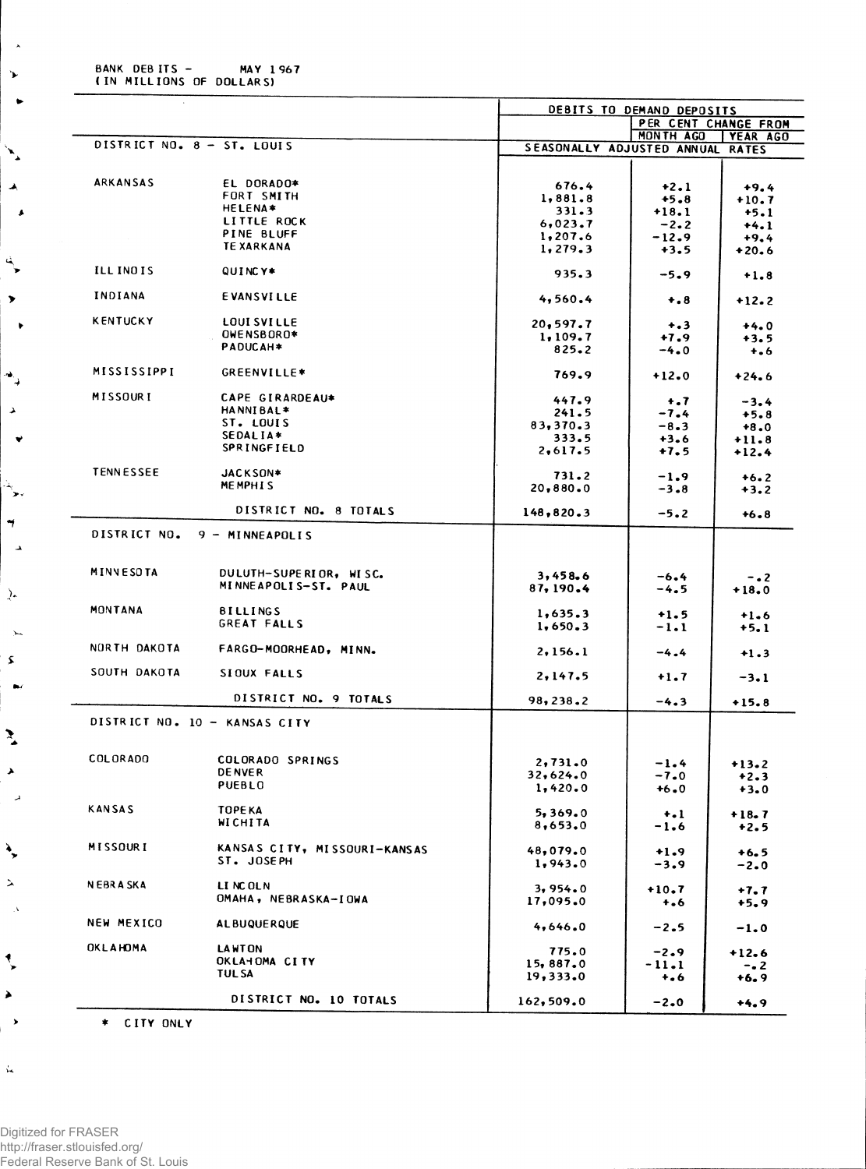BANK DEBITS - MAY 1967<br>(IN MILLIONS OF DOLLARS)

 $\lambda$ 

 $\mathbf{v}$  $\bullet$ 

 $\mathbf{v}$ 

 $\blacktriangle$  $\blacktriangle$ 

 $\frac{d}{\sqrt{2}}$ 

 $\blacktriangleright$  $\ddot{\phantom{1}}$ 

 $\ddot{=}$ 

 $\Delta$  $\blacktriangledown$ 

 $\mathbb{P}_{\mathbf{y}}$ 

 $\blacktriangledown$  $\blacktriangle$ 

 $\lambda$ 

 $\rightarrow$  $\bar{\bm{z}}$  $\bullet$ 

 $\sum_{\alpha}$ 

 $\blacktriangleright$  $\boldsymbol{\lambda}$ 

 $\lambda_{\mu}$ 

 $\bar{\lambda}$  $\bar{\Delta}$ 

 $\mathcal{L}$ 

 $\blacktriangleright$  $\rightarrow$ 

 $\mathbf{k}$ 

|                                                                    |                                            |                                  | DEBITS TO DEMAND DEPOSITS |                   |
|--------------------------------------------------------------------|--------------------------------------------|----------------------------------|---------------------------|-------------------|
|                                                                    |                                            |                                  | PER CENT CHANGE FROM      |                   |
| DISTRICT NO. 8 - ST. LOUIS                                         |                                            | SEASONALLY ADJUSTED ANNUAL RATES | MONTH AGO   YEAR AGO      |                   |
|                                                                    |                                            |                                  |                           |                   |
| <b>ARKANSAS</b>                                                    | EL DORADO*                                 | 676.4                            | $+2.1$                    | $+9.4$            |
|                                                                    | FORT SMITH                                 | 1,881.8                          | $+5.8$                    | $+10.7$           |
|                                                                    | <b>HELENA*</b>                             | 331.3                            | $+18.1$                   | $+5.1$            |
|                                                                    | LITTLE ROCK                                | 6,023.7                          | $-2.2$                    | $+4.1$            |
|                                                                    | PINE BLUFF                                 | 1,207.6                          | $-12.9$                   |                   |
|                                                                    | <b>TE XARKANA</b>                          | 1, 279.3                         | $+3.5$                    | $+9.4$<br>$+20.6$ |
| ILL INDIS                                                          | QUINCY*                                    | 935.3                            | $-5.9$                    | $+1.8$            |
| INDIANA                                                            | <b>EVANSVILLE</b>                          | 4,560.4                          | $+ 8$                     | $+12.2$           |
| <b>KENTUCKY</b>                                                    | LOUI SVILLE                                | 20,597.7                         | $+ 3$                     | $+4.0$            |
|                                                                    | OWENSBORO*                                 | 1,109.7                          | $+7.9$                    | $+3.5$            |
|                                                                    | PADUCAH*                                   | 825.2                            | $-4.0$                    | $+ 0.6$           |
| MISSISSIPPI                                                        | <b>GREENVILLE*</b>                         | 769.9                            | $+12.0$                   | $+24.6$           |
| MISSOURI                                                           | CAPE GIRARDEAU*                            |                                  |                           |                   |
|                                                                    | HANNIBAL*                                  | 447.9                            | $+$ .7                    | $-3.4$            |
|                                                                    | ST. LOUIS                                  | 241.5                            | $-7.4$                    | $+5.8$            |
|                                                                    | SEDALIA*                                   | 83,370.3                         | $-8.3$                    | $+8.0$            |
|                                                                    | SPRINGFIELD                                | 333.5                            | $+3.6$                    | $+11.8$           |
|                                                                    |                                            | 2,617.5                          | $+7.5$                    | $+12.4$           |
| <b>TENNESSEE</b>                                                   | JACKSON*                                   | 731.2                            | $-1.9$                    |                   |
|                                                                    | MEMPHIS                                    | 20,880.0                         | $-3.8$                    | $+6.2$<br>$+3.2$  |
|                                                                    | DISTRICT NO. 8 TOTALS                      | 148,820.3                        | $-5.2$                    | $+6.8$            |
| <b>MINNESOTA</b>                                                   | $9 - MINEAPOLIS$<br>DULUTH-SUPERIOR, WISC. | 3,458.6                          | -6.4                      | $-0.2$            |
|                                                                    | MINNEAPOLIS-ST. PAUL                       | 87,190.4                         | $-4.5$                    | $+18.0$           |
| MONTANA                                                            | <b>BILLINGS</b><br>GREAT FALLS             | 1,635.3<br>1,650.3               | $+1.5$<br>$-1.1$          | $+1.6$<br>$+5.1$  |
| NORTH DAKOTA                                                       | FARGO-MOORHEAD, MINN.                      | 2,156.1                          | $-4.4$                    | $+1.3$            |
| SOUTH DAKOTA                                                       | SIOUX FALLS                                | 2,147.5                          | $+1.7$                    | $-3.1$            |
|                                                                    | DISTRICT NO. 9 TOTALS                      | 98,238.2                         | $-4.3$                    | $+15.8$           |
|                                                                    | DISTRICT NO. 10 - KANSAS CITY              |                                  |                           |                   |
|                                                                    |                                            |                                  |                           |                   |
| <b>COLORADO</b>                                                    | COLORADO SPRINGS                           | 2,731.0                          | $-1.4$                    | $+13.2$           |
|                                                                    | <b>DENVER</b>                              | 32,624.0                         | $-7.0$                    | $+2.3$            |
|                                                                    |                                            |                                  |                           |                   |
|                                                                    | PUEBLO                                     | 1,420.0                          | $+6.0$                    | $+3.0$            |
|                                                                    |                                            |                                  |                           |                   |
|                                                                    | <b>TOPE KA</b>                             | 5,369.0                          | $+1$                      | $+18.7$           |
|                                                                    | <b>WICHITA</b>                             | 8,653.0                          | $-1.6$                    | $+2.5$            |
|                                                                    |                                            |                                  |                           |                   |
|                                                                    | KANSAS CITY, MISSOURI-KANSAS               | 48,079.0                         | $+1.9$                    | $+6.5$            |
|                                                                    | ST. JOSEPH                                 | 1,943.0                          | $-3.9$                    | $-2.0$            |
|                                                                    |                                            |                                  |                           |                   |
|                                                                    | LINCOLN<br>OMAHA, NEBRASKA-IOWA            | 3,954.0                          | $+10.7$                   | $+7.7$            |
|                                                                    |                                            | 17,095.0                         | $+ 0.6$                   | $+5, 9$           |
|                                                                    | <b>ALBUQUERQUE</b>                         | 4,646.0                          | $-2.5$                    | $-1.0$            |
|                                                                    | <b>LAWTON</b>                              | 775.0                            | $-2.9$                    | $+12.6$           |
|                                                                    | OKLAHOMA CITY                              | 15,887.0                         | -11.1                     | $-0.2$            |
| KANSAS<br>MISSOURI<br>N EBR A SKA<br>NEW MEXICO<br><b>OKLAHOMA</b> | <b>TULSA</b>                               | 19,333.0                         | $+ 0.6$                   | $+6.9$            |